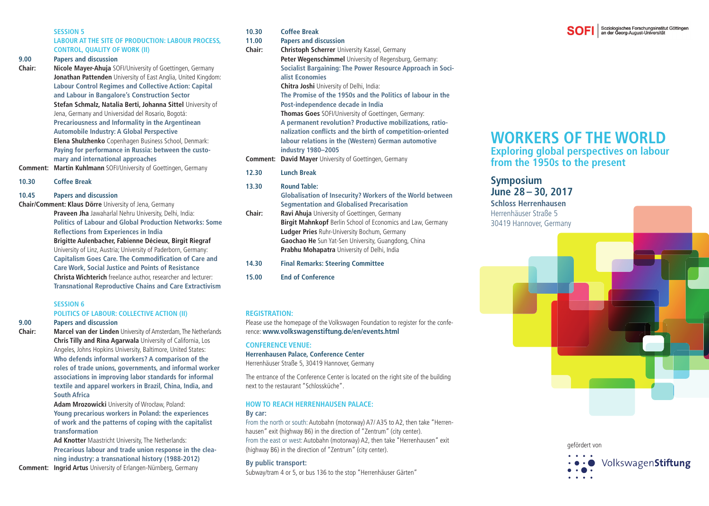#### **SESSION 5**

#### **LABOUR AT THE SITE OF PRODUCTION: LABOUR PROCESS, CONTROL, QUALITY OF WORK (II)**

**9.00 Papers and discussion**

**Chair: Nicole Mayer-Ahuja** SOFI/University of Goettingen, Germany  **Jonathan Pattenden** University of East Anglia, United Kingdom:  **Labour Control Regimes and Collective Action: Capital and Labour in Bangalore's Construction Sector Stefan Schmalz, Natalia Berti, Johanna Sittel** University of Jena, Germany and Universidad del Rosario, Bogotá:  **Precariousness and Informality in the Argentinean Automobile Industry: A Global Perspective Elena Shulzhenko** Copenhagen Business School, Denmark:  **Paying for performance in Russia: between the customary and international approaches**

**Comment: Martin Kuhlmann** SOFI/University of Goettingen, Germany

#### **10.30 Coffee Break**

#### **10.45 Papers and discussion**

**Chair/Comment: Klaus Dörre** University of Jena, Germany

 **Praveen Jha** Jawaharlal Nehru University, Delhi, India:  **Politics of Labour and Global Production Networks: Some Reflections from Experiences in India** 

 **Brigitte Aulenbacher, Fabienne Décieux, Birgit Riegraf** University of Linz, Austria; University of Paderborn, Germany: **Capitalism Goes Care. The Commodification of Care and Care Work, Social Justice and Points of Resistance Christa Wichterich** freelance author, researcher and lecturer:  **Transnational Reproductive Chains and Care Extractivism**

#### **SESSION 6**

#### **POLITICS OF LABOUR: COLLECTIVE ACTION (II)**

#### **9.00 Papers and discussion**

**Chair: Marcel van der Linden** University of Amsterdam, The Netherlands  **Chris Tilly and Rina Agarwala** University of California, Los Angeles, Johns Hopkins University, Baltimore, United States: **Who defends informal workers? A comparison of the roles of trade unions, governments, and informal worker associations in improving labor standards for informal textile and apparel workers in Brazil, China, India, and South Africa**

> **Adam Mrozowicki** University of Wrocław, Poland:  **Young precarious workers in Poland: the experiences of work and the patterns of coping with the capitalist transformation**

 **Ad Knotter** Maastricht University, The Netherlands:  **Precarious labour and trade union response in the cleaning industry: a transnational history (1988-2012)**

**Comment: Ingrid Artus** University of Erlangen-Nürnberg, Germany

**10.30 Coffee Break**

**11.00 Papers and discussion**

**Chair: Christoph Scherrer** University Kassel, Germany **Peter Wegenschimmel** University of Regensburg, Germany: **Socialist Bargaining: The Power Resource Approach in Socialist Economies Chitra Joshi** University of Delhi, India:  **The Promise of the 1950s and the Politics of labour in the Post-independence decade in India Thomas Goes** SOFI/University of Goettingen, Germany:  **A permanent revolution? Productive mobilizations, rationalization confl icts and the birth of competition-oriented labour relations in the (Western) German automotive industry 1980–2005**

**Comment: David Mayer** University of Goettingen, Germany

**12.30 Lunch Break**

#### **13.30 Round Table:**

 **Globalisation of Insecurity? Workers of the World between Segmentation and Globalised Precarisation**

**Chair:** Ravi Ahuia University of Goettingen, Germany **Birgit Mahnkopf** Berlin School of Economics and Law, Germany **Ludger Pries** Ruhr-University Bochum, Germany  **Gaochao He** Sun Yat-Sen University, Guangdong, China  **Prabhu Mohapatra** University of Delhi, India

#### **14.30 Final Remarks: Steering Committee**

**15.00 End of Conference**

#### **REGISTRATION:**

Please use the homepage of the Volkswagen Foundation to register for the conference: **www.volkswagenstiftung.de/en/events.html**

#### **CONFERENCE VENUE:**

#### **Herrenhausen Palace, Conference Center**

Herrenhäuser Straße 5, 30419 Hannover, Germany

The entrance of the Conference Center is located on the right site of the building next to the restaurant "Schlossküche".

#### **HOW TO REACH HERRENHAUSEN PALACE:**

#### **By car:**

From the north or south: Autobahn (motorway) A7/ A35 to A2, then take "Herrenhausen" exit (highway B6) in the direction of "Zentrum" (city center). From the east or west: Autobahn (motorway) A2, then take "Herrenhausen" exit (highway B6) in the direction of "Zentrum" (city center).

#### **By public transport:**

Subway/tram 4 or 5, or bus 136 to the stop "Herrenhäuser Gärten"

## **WORKERS OF THE WORLD**

**Exploring global perspectives on labour from the 1950s to the present**

### **Symposium June 28 – 30, 2017**

**Schloss Herrenhausen** Herrenhäuser Straße 5 30419 Hannover, Germany

> gefördert vonVolkswagenStiftung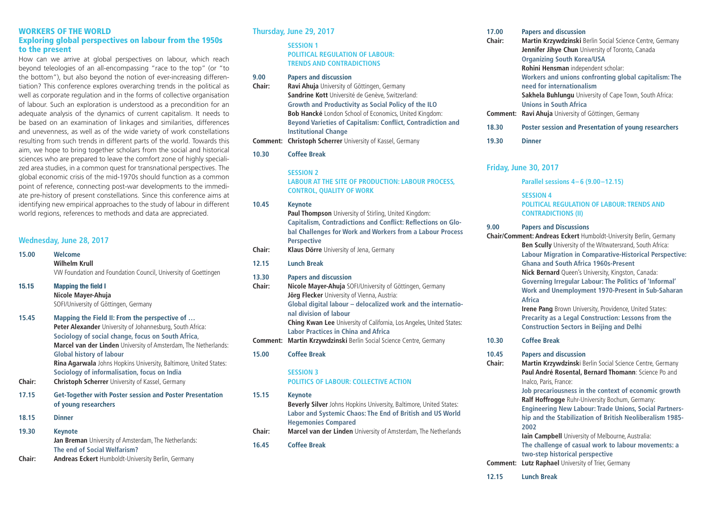#### **WORKERS OF THE WORLD Exploring global perspectives on labour from the 1950s to the present**

How can we arrive at global perspectives on labour, which reach beyond teleologies of an all-encompassing "race to the top" (or "to the bottom"), but also beyond the notion of ever-increasing differentiation? This conference explores overarching trends in the political as well as corporate regulation and in the forms of collective organisation of labour. Such an exploration is understood as a precondition for an adequate analysis of the dynamics of current capitalism. It needs to be based on an examination of linkages and similarities, differences and unevenness, as well as of the wide variety of work constellations resulting from such trends in different parts of the world. Towards this aim, we hope to bring together scholars from the social and historical sciences who are prepared to leave the comfort zone of highly specialized area studies, in a common quest for transnational perspectives. The global economic crisis of the mid-1970s should function as a common point of reference, connecting post-war developments to the immediate pre-history of present constellations. Since this conference aims at identifying new empirical approaches to the study of labour in different world regions, references to methods and data are appreciated.

| Wednesday, June 28, 2017 |                                                                                                                                                                                                                                                                                                                                                                                                                                                               |  |
|--------------------------|---------------------------------------------------------------------------------------------------------------------------------------------------------------------------------------------------------------------------------------------------------------------------------------------------------------------------------------------------------------------------------------------------------------------------------------------------------------|--|
| 15.00                    | Welcome<br>Wilhelm Krull<br>VW Foundation and Foundation Council, University of Goettingen                                                                                                                                                                                                                                                                                                                                                                    |  |
| 15.15                    | <b>Mapping the field I</b><br>Nicole Mayer-Ahuja<br>SOFI/University of Göttingen, Germany                                                                                                                                                                                                                                                                                                                                                                     |  |
| 15.45<br>Chair:          | Mapping the Field II: From the perspective of<br>Peter Alexander University of Johannesburg, South Africa:<br>Sociology of social change, focus on South Africa,<br>Marcel van der Linden University of Amsterdam, The Netherlands:<br><b>Global history of labour</b><br><b>Rina Agarwala</b> Johns Hopkins University, Baltimore, United States:<br>Sociology of informalisation, focus on India<br><b>Christoph Scherrer</b> University of Kassel, Germany |  |
| 17.15                    | <b>Get-Together with Poster session and Poster Presentation</b><br>of young researchers                                                                                                                                                                                                                                                                                                                                                                       |  |
| 18.15                    | <b>Dinner</b>                                                                                                                                                                                                                                                                                                                                                                                                                                                 |  |
| 19.30                    | <b>Keynote</b><br><b>Jan Breman</b> University of Amsterdam, The Netherlands:<br>The end of Social Welfarism?                                                                                                                                                                                                                                                                                                                                                 |  |
| <b>Chair:</b>            | <b>Andreas Eckert</b> Humboldt-University Berlin, Germany                                                                                                                                                                                                                                                                                                                                                                                                     |  |

#### **Thursday, June 29, 2017**

 **SESSION 1 POLITICAL REGULATION OF LABOUR: TRENDS AND CONTRADICTIONS**

#### **9.00 Papers and discussion Chair: Ravi Ahuja** University of Göttingen, Germany  **Sandrine Kott** Université de Genève, Switzerland: **Growth and Productivity as Social Policy of the ILO Bob Hancké** London School of Economics, United Kingdom: **Beyond Varieties of Capitalism: Conflict, Contradiction and Institutional Change Comment: Christoph Scherrer** University of Kassel, Germany **10.30 Coffee Break**

#### **SESSION 2**

 **LABOUR AT THE SITE OF PRODUCTION: LABOUR PROCESS, CONTROL, QUALITY OF WORK**

#### **10.45 Keynote**

 **Paul Thompson** University of Stirling, United Kingdom: **Capitalism, Contradictions and Conflict: Reflections on Global Challenges for Work and Workers from a Labour Process Perspective**

**Chair: Klaus Dörre** University of Jena, Germany

#### **12.15 Lunch Break**

#### **13.30 Papers and discussion**

| Chair: | Nicole Mayer-Ahuja SOFI/University of Göttingen, Germany                               |
|--------|----------------------------------------------------------------------------------------|
|        | <b>Jörg Flecker</b> University of Vienna, Austria:                                     |
|        | Global digital labour – delocalized work and the internatio-<br>nal division of labour |
|        | <b>Ching Kwan Lee</b> University of California, Los Angeles, United States:            |
|        | <b>Labor Practices in China and Africa</b>                                             |
|        | <b>Comment: Martin Krzywdzinski Berlin Social Science Centre, Germany</b>              |
| 15.00  | <b>Coffee Break</b>                                                                    |
|        | <b>SESSION 3</b>                                                                       |
|        | <b>POLITICS OF LABOUR: COLLECTIVE ACTION</b>                                           |

**15.15 Keynote Beverly Silver** Johns Hopkins University, Baltimore, United States: **Labor and Systemic Chaos: The End of British and US World Hegemonies Compared Chair: Marcel van der Linden** University of Amsterdam, The Netherlands **16.45 Coffee Break**

#### **17.00 Papers and discussion Chair: Martin Krzywdzinski** Berlin Social Science Centre, Germany **Jennifer Jihve Chun** University of Toronto, Canada **Organizing South Korea/USA Rohini Hensman** independent scholar:  **Workers and unions confronting global capitalism: The need for internationalism Sakhela Buhlungu** University of Cape Town, South Africa: **Unions in South Africa Comment: Ravi Ahuja** University of Göttingen, Germany **18.30 Poster session and Presentation of young researchers**

#### **19.30 Dinner**

#### **Friday, June 30, 2017**

 **Parallel sessions 4– 6 (9.00–12.15)** 

#### **SESSION 4 POLITICAL REGULATION OF LABOUR: TRENDS AND CONTRADICTIONS (II)**

#### **9.00 Papers and Discussions**

**Chair/Comment: Andreas Eckert** Humboldt-University Berlin, Germany  **Ben Scully** University of the Witwatersrand, South Africa: **Labour Migration in Comparative-Historical Perspective: Ghana and South Africa 1960s-Present Nick Bernard** Queen's University, Kingston, Canada: **Governing Irregular Labour: The Politics of 'Informal' Work and Unemployment 1970-Present in Sub-Saharan Africa Irene Pang** Brown University, Providence, United States:

**Precarity as a Legal Construction: Lessons from the Construction Sectors in Beijing and Delhi** 

**10.30 Coffee Break**

#### **10.45 Papers and discussion**

**Chair: Martin Krzywdzinsk**i Berlin Social Science Centre, Germany **Paul André Rosental, Bernard Thomann**: Science Po and Inalco, Paris, France:

> **Job precariousness in the context of economic growth Ralf Hoffrogge** Ruhr-University Bochum, Germany: **Engineering New Labour: Trade Unions, Social Partnership and the Stabilization of British Neoliberalism 1985-**

 **Iain Campbell** University of Melbourne, Australia: **The challenge of casual work to labour movements: a two-step historical perspective** 

**Comment: Lutz Raphael University of Trier, Germany** 

**2002**